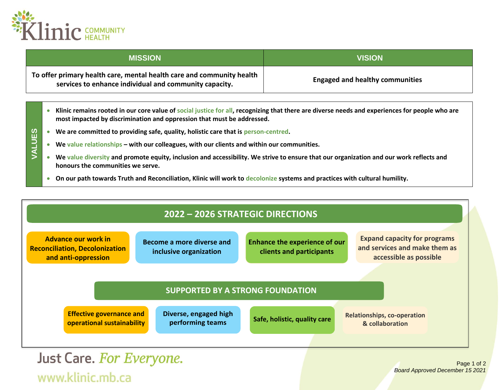

| <b>MISSION</b>                                                                                                                  | <b>VISION</b>                          |
|---------------------------------------------------------------------------------------------------------------------------------|----------------------------------------|
| To offer primary health care, mental health care and community health<br>services to enhance individual and community capacity. | <b>Engaged and healthy communities</b> |

- **Klinic remains rooted in our core value of social justice for all, recognizing that there are diverse needs and experiences for people who are most impacted by discrimination and oppression that must be addressed.**
- **VALUES** • **We are committed to providing safe, quality, holistic care that is person-centred.** 
	- **We value relationships – with our colleagues, with our clients and within our communities.**
	- **We value diversity and promote equity, inclusion and accessibility. We strive to ensure that our organization and our work reflects and honours the communities we serve.**
	- **On our path towards Truth and Reconciliation, Klinic will work to decolonize systems and practices with cultural humility.**



Just Care. For Everyone. www.klinic.mb.ca

Page 1 of 2 *Board Approved December 15 2021*